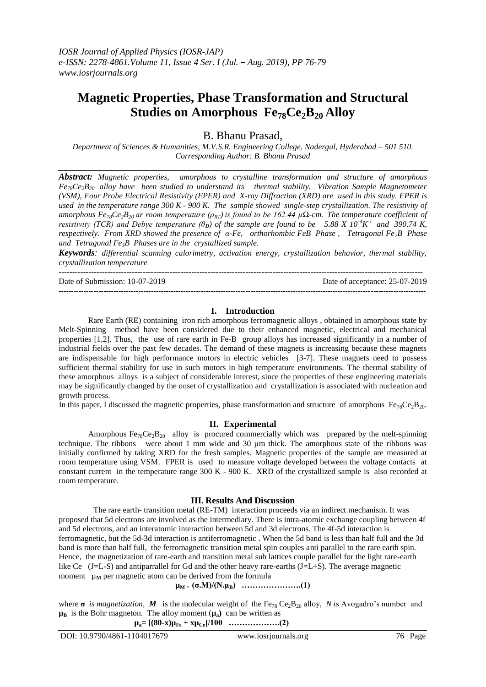# **Magnetic Properties, Phase Transformation and Structural Studies on Amorphous Fe78Ce2B<sup>20</sup> Alloy**

B. Bhanu Prasad,

*Department of Sciences & Humanities, M.V.S.R. Engineering College, Nadergul, Hyderabad – 501 510. Corresponding Author: B. Bhanu Prasad*

*Abstract: Magnetic properties, amorphous to crystalline transformation and structure of amorphous Fe78Ce2B20 alloy have been studied to understand its thermal stability. Vibration Sample Magnetometer (VSM), Four Probe Electrical Resistivity (FPER) and X-ray Diffraction (XRD) are used in this study. FPER is used in the temperature range 300 K - 900 K. The sample showed single-step crystallization. The resistivity of amorphous Fe*<sub>78</sub>*Ce*<sub>2</sub>*B*<sub>20</sub> *ar room temperature* ( $\rho_{RT}$ ) *is found to be 162.44 µ* $\Omega$ -*cm. The temperature coefficient of resistivity (TCR) and Debye temperature (* $\theta$ *<sup><i>D*</sup>) of the sample are found to be 5.88 X  $10^{-4}K^{-1}$  and 390.74 K, *respectively. From XRD showed the presence of α-Fe, orthorhombic FeB Phase , Tetragonal Fe2B Phase and Tetragonal Fe3B Phases are in the crystallized sample.* 

*Keywords: differential scanning calorimetry, activation energy, crystallization behavior, thermal stability, crystallization temperature*

-------------------------------------------------------------------------------------------------------------------------------------- Date of Submission: 10-07-2019 Date of acceptance: 25-07-2019 ---------------------------------------------------------------------------------------------------------------------------------------------------

#### **I. Introduction**

Rare Earth (RE) containing iron rich amorphous ferromagnetic alloys , obtained in amorphous state by Melt-Spinning method have been considered due to their enhanced magnetic, electrical and mechanical properties [1,2]. Thus, the use of rare earth in Fe-B group alloys has increased significantly in a number of industrial fields over the past few decades. The demand of these magnets is increasing because these magnets are indispensable for high performance motors in electric vehicles [3-7]. These magnets need to possess sufficient thermal stability for use in such motors in high temperature environments. The thermal stability of these amorphous alloys is a subject of considerable interest, since the properties of these engineering materials may be significantly changed by the onset of crystallization and crystallization is associated with nucleation and growth process.

In this paper, I discussed the magnetic properties, phase transformation and structure of amorphous  $Fe_{78}Ce_{2}B_{20}$ .

# **II. Experimental**

Amorphous  $Fe_{78}Ce_{2}B_{20}$  alloy is procured commercially which was prepared by the melt-spinning technique. The ribbons were about 1 mm wide and 30 µm thick. The amorphous state of the ribbons was initially confirmed by taking XRD for the fresh samples. Magnetic properties of the sample are measured at room temperature using VSM. FPER is used to measure voltage developed between the voltage contacts at constant current in the temperature range 300 K - 900 K. XRD of the crystallized sample is also recorded at room temperature.

#### **III. Results And Discussion**

 The rare earth- transition metal (RE-TM) interaction proceeds via an indirect mechanism. It was proposed that 5d electrons are involved as the intermediary. There is intra-atomic exchange coupling between 4f and 5d electrons, and an interatomic interaction between 5d and 3d electrons. The 4f-5d interaction is ferromagnetic, but the 5d-3d interaction is antiferromagnetic . When the 5d band is less than half full and the 3d band is more than half full, the ferromagnetic transition metal spin couples anti parallel to the rare earth spin. Hence, the magnetization of rare-earth and transition metal sub lattices couple parallel for the light rare-earth like Ce (J=L-S) and antiparrallel for Gd and the other heavy rare-earths (J=L+S). The average magnetic moment  $\mu_M$  per magnetic atom can be derived from the formula

 $\mu_{M} = (\sigma.M)/(N.\mu_B)$  ……………………...(1)

where  $\sigma$  *is magnetization, M* is the molecular weight of the Fe<sub>78</sub> Ce<sub>2</sub>B<sub>20</sub> alloy, *N* is Avogadro's number and  $\mu_{\text{B}}$  is the Bohr magneton. The alloy moment  $(\mu_{\text{a}})$  can be written as

 $\mu_a = [(80-x)\mu_{Fe} + x\mu_{Ce}]/100$  ………………..(2)

DOI: 10.9790/4861-1104017679 www.iosrjournals.org 76 | Page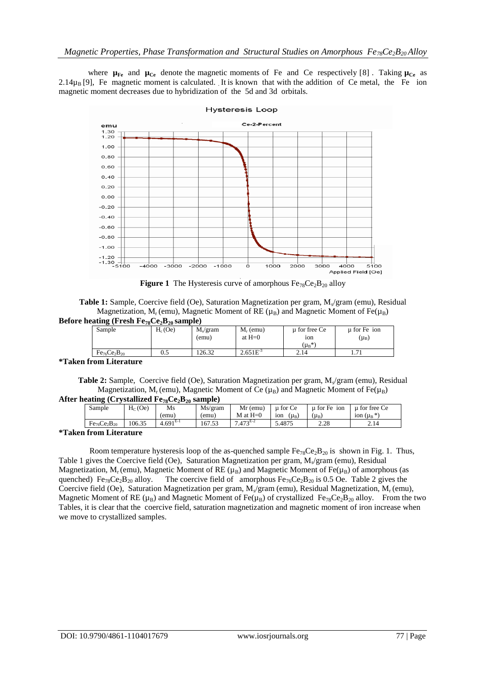where  $\mu_{Fe}$  and  $\mu_{Ce}$  denote the magnetic moments of Fe and Ce respectively [8]. Taking  $\mu_{Ce}$  as 2.14 $\mu_B$  [9], Fe magnetic moment is calculated. It is known that with the addition of Ce metal, the Fe ion magnetic moment decreases due to hybridization of the 5d and 3d orbitals.



**Figure 1** The Hysteresis curve of amorphous  $Fe_{78}Ce_2B_{20}$  alloy

| <b>Table 1:</b> Sample, Coercive field (Oe), Saturation Magnetization per gram, M <sub>s</sub> /gram (emu), Residual |
|----------------------------------------------------------------------------------------------------------------------|
| Magnetization, $M_r$ (emu), Magnetic Moment of RE $(\mu_B)$ and Magnetic Moment of Fe( $\mu_B$ )                     |
| Before heating (Fresh $Fe_{78}Ce_2B_{20}$ sample)                                                                    |

| .<br>-<br>$-10 - -4 - 40$ |           |                      |               |               |                      |  |
|---------------------------|-----------|----------------------|---------------|---------------|----------------------|--|
| Sample                    | $H_c(Oe)$ | M <sub>s</sub> /gram | $M_r$ (emu)   | u for free Ce | $\mu$ for Fe ion     |  |
|                           |           | (emu)                | at $H=0$      | 10n           | $(\mu_B)$            |  |
|                           |           |                      |               | $(\mu_B)^*$   |                      |  |
| $Fe_{76}Ce_2B_{20}$       | U.J       | 126.32               | $2.651E^{-3}$ | 2.14          | $\mathbf{z}$<br>1.11 |  |
|                           |           |                      |               |               |                      |  |

# **\*Taken from Literature**

Table 2: Sample, Coercive field (Oe), Saturation Magnetization per gram, M<sub>s</sub>/gram (emu), Residual Magnetization, M<sub>r</sub> (emu), Magnetic Moment of Ce ( $\mu_B$ ) and Magnetic Moment of Fe( $\mu_B$ )

| After heating (Crystallized $\rm Fe_{78}Ce_2B_{20}$ sample) |  |
|-------------------------------------------------------------|--|
|-------------------------------------------------------------|--|

|                        |            | Ms/gram<br>$Mr$ (emu)   | u for Ce                             | u for Fe<br>ion | for free Ce<br>ш |
|------------------------|------------|-------------------------|--------------------------------------|-----------------|------------------|
|                        | (emu)      | $M$ at $H=0$<br>(emu)   | (µ <sub>B</sub> )<br>10 <sub>n</sub> | $(\mu_B)$       | ion $(\mu_B^*)$  |
| 106.35<br>$Fe76Ce2B20$ | $4.691E-1$ | $7.473^{E-2}$<br>167.53 | 5.4875                               | 2.28            | 2.14             |

#### **\*Taken from Literature**

Room temperature hysteresis loop of the as-quenched sample  $Fe_{78}Ce_{2}B_{20}$  is shown in Fig. 1. Thus, Table 1 gives the Coercive field (Oe), Saturation Magnetization per gram,  $M_s$  gram (emu), Residual Magnetization,  $M_r$  (emu), Magnetic Moment of RE ( $\mu_B$ ) and Magnetic Moment of Fe( $\mu_B$ ) of amorphous (as quenched) Fe<sub>78</sub>Ce<sub>2</sub>B<sub>20</sub> alloy. The coercive field of amorphous Fe<sub>76</sub>Ce<sub>2</sub>B<sub>20</sub> is 0.5 Oe. Table 2 gives the The coercive field of amorphous  $Fe_{76}Ce_2B_{20}$  is 0.5 Oe. Table 2 gives the Coercive field (Oe), Saturation Magnetization per gram,  $M_s$  gram (emu), Residual Magnetization,  $M_r$  (emu), Magnetic Moment of RE ( $\mu_B$ ) and Magnetic Moment of Fe( $\mu_B$ ) of crystallized Fe<sub>78</sub>Ce<sub>2</sub>B<sub>20</sub> alloy. From the two Tables, it is clear that the coercive field, saturation magnetization and magnetic moment of iron increase when we move to crystallized samples.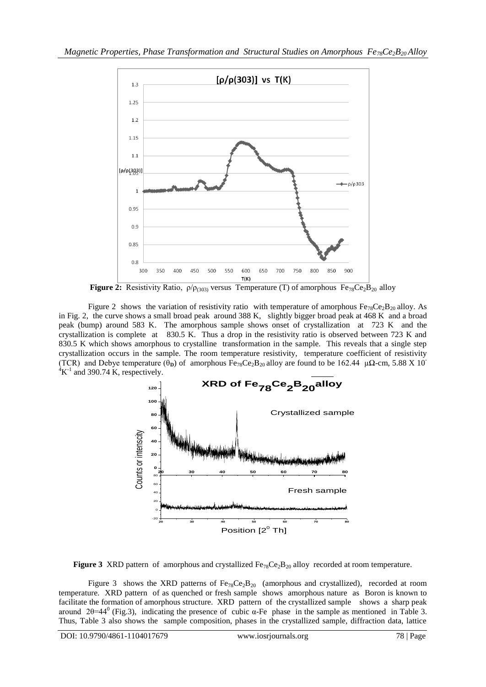

**Figure 2:** Resistivity Ratio,  $\rho/\rho_{(303)}$  versus Temperature (T) of amorphous Fe<sub>78</sub>Ce<sub>2</sub>B<sub>20</sub> alloy

Figure 2 shows the variation of resistivity ratio with temperature of amorphous Fe<sub>78</sub>Ce<sub>2</sub>B<sub>20</sub> alloy. As in Fig. 2, the curve shows a small broad peak around 388 K, slightly bigger broad peak at 468 K and a broad peak (bump) around 583 K. The amorphous sample shows onset of crystallization at 723 K and the crystallization is complete at 830.5 K. Thus a drop in the resistivity ratio is observed between 723 K and 830.5 K which shows amorphous to crystalline transformation in the sample. This reveals that a single step crystallization occurs in the sample. The room temperature resistivity, temperature coefficient of resistivity (TCR) and Debye temperature  $(\theta_{D})$  of amorphous Fe<sub>78</sub>Ce<sub>2</sub>B<sub>20</sub> alloy are found to be 162.44 µ $\Omega$ -cm, 5.88 X 10<sup>-</sup>  ${}^{4}$ K<sup>-1</sup> and 390.74 K, respectively.



**Figure 3** XRD pattern of amorphous and crystallized  $Fe_{78}Ce_{2}B_{20}$  alloy recorded at room temperature.

Figure 3 shows the XRD patterns of  $Fe_{78}Ce_{2}B_{20}$  (amorphous and crystallized), recorded at room temperature. XRD pattern of as quenched or fresh sample shows amorphous nature as Boron is known to facilitate the formation of amorphous structure. XRD pattern of the crystallized sample shows a sharp peak around 2θ=44<sup>0</sup> (Fig.3), indicating the presence of cubic α-Fe phase in the sample as mentioned in Table 3. Thus, Table 3 also shows the sample composition, phases in the crystallized sample, diffraction data, lattice